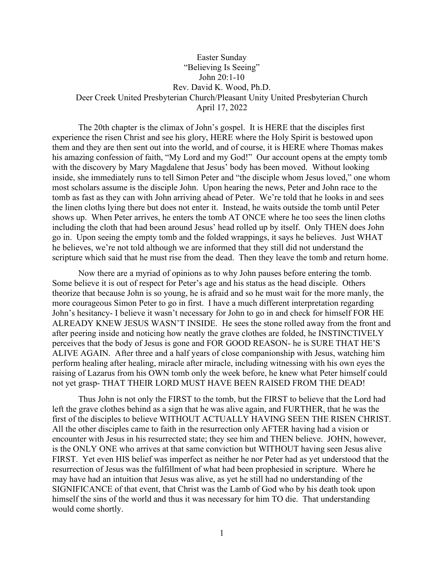## Easter Sunday "Believing Is Seeing" John 20:1-10 Rev. David K. Wood, Ph.D. Deer Creek United Presbyterian Church/Pleasant Unity United Presbyterian Church April 17, 2022

The 20th chapter is the climax of John's gospel. It is HERE that the disciples first experience the risen Christ and see his glory, HERE where the Holy Spirit is bestowed upon them and they are then sent out into the world, and of course, it is HERE where Thomas makes his amazing confession of faith, "My Lord and my God!" Our account opens at the empty tomb with the discovery by Mary Magdalene that Jesus' body has been moved. Without looking inside, she immediately runs to tell Simon Peter and "the disciple whom Jesus loved," one whom most scholars assume is the disciple John. Upon hearing the news, Peter and John race to the tomb as fast as they can with John arriving ahead of Peter. We're told that he looks in and sees the linen cloths lying there but does not enter it. Instead, he waits outside the tomb until Peter shows up. When Peter arrives, he enters the tomb AT ONCE where he too sees the linen cloths including the cloth that had been around Jesus' head rolled up by itself. Only THEN does John go in. Upon seeing the empty tomb and the folded wrappings, it says he believes. Just WHAT he believes, we're not told although we are informed that they still did not understand the scripture which said that he must rise from the dead. Then they leave the tomb and return home.

Now there are a myriad of opinions as to why John pauses before entering the tomb. Some believe it is out of respect for Peter's age and his status as the head disciple. Others theorize that because John is so young, he is afraid and so he must wait for the more manly, the more courageous Simon Peter to go in first. I have a much different interpretation regarding John's hesitancy- I believe it wasn't necessary for John to go in and check for himself FOR HE ALREADY KNEW JESUS WASN'T INSIDE. He sees the stone rolled away from the front and after peering inside and noticing how neatly the grave clothes are folded, he INSTINCTIVELY perceives that the body of Jesus is gone and FOR GOOD REASON- he is SURE THAT HE'S ALIVE AGAIN. After three and a half years of close companionship with Jesus, watching him perform healing after healing, miracle after miracle, including witnessing with his own eyes the raising of Lazarus from his OWN tomb only the week before, he knew what Peter himself could not yet grasp- THAT THEIR LORD MUST HAVE BEEN RAISED FROM THE DEAD!

Thus John is not only the FIRST to the tomb, but the FIRST to believe that the Lord had left the grave clothes behind as a sign that he was alive again, and FURTHER, that he was the first of the disciples to believe WITHOUT ACTUALLY HAVING SEEN THE RISEN CHRIST. All the other disciples came to faith in the resurrection only AFTER having had a vision or encounter with Jesus in his resurrected state; they see him and THEN believe. JOHN, however, is the ONLY ONE who arrives at that same conviction but WITHOUT having seen Jesus alive FIRST. Yet even HIS belief was imperfect as neither he nor Peter had as yet understood that the resurrection of Jesus was the fulfillment of what had been prophesied in scripture. Where he may have had an intuition that Jesus was alive, as yet he still had no understanding of the SIGNIFICANCE of that event, that Christ was the Lamb of God who by his death took upon himself the sins of the world and thus it was necessary for him TO die. That understanding would come shortly.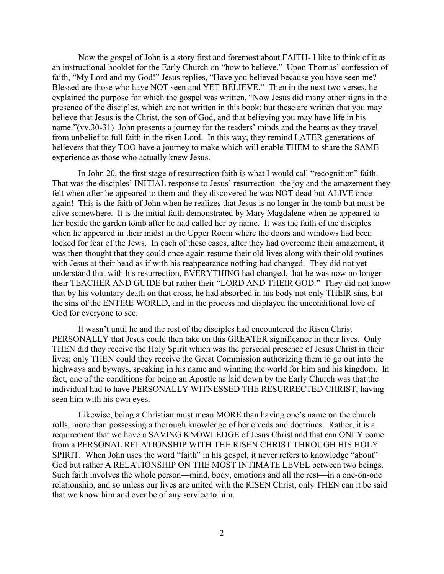Now the gospel of John is a story first and foremost about FAITH- I like to think of it as an instructional booklet for the Early Church on "how to believe." Upon Thomas' confession of faith, "My Lord and my God!" Jesus replies, "Have you believed because you have seen me? Blessed are those who have NOT seen and YET BELIEVE." Then in the next two verses, he explained the purpose for which the gospel was written, "Now Jesus did many other signs in the presence of the disciples, which are not written in this book; but these are written that you may believe that Jesus is the Christ, the son of God, and that believing you may have life in his name."(vv.30-31) John presents a journey for the readers' minds and the hearts as they travel from unbelief to full faith in the risen Lord. In this way, they remind LATER generations of believers that they TOO have a journey to make which will enable THEM to share the SAME experience as those who actually knew Jesus.

In John 20, the first stage of resurrection faith is what I would call "recognition" faith. That was the disciples' INITIAL response to Jesus' resurrection- the joy and the amazement they felt when after he appeared to them and they discovered he was NOT dead but ALIVE once again! This is the faith of John when he realizes that Jesus is no longer in the tomb but must be alive somewhere. It is the initial faith demonstrated by Mary Magdalene when he appeared to her beside the garden tomb after he had called her by name. It was the faith of the disciples when he appeared in their midst in the Upper Room where the doors and windows had been locked for fear of the Jews. In each of these cases, after they had overcome their amazement, it was then thought that they could once again resume their old lives along with their old routines with Jesus at their head as if with his reappearance nothing had changed. They did not yet understand that with his resurrection, EVERYTHING had changed, that he was now no longer their TEACHER AND GUIDE but rather their "LORD AND THEIR GOD." They did not know that by his voluntary death on that cross, he had absorbed in his body not only THEIR sins, but the sins of the ENTIRE WORLD, and in the process had displayed the unconditional love of God for everyone to see.

It wasn't until he and the rest of the disciples had encountered the Risen Christ PERSONALLY that Jesus could then take on this GREATER significance in their lives. Only THEN did they receive the Holy Spirit which was the personal presence of Jesus Christ in their lives; only THEN could they receive the Great Commission authorizing them to go out into the highways and byways, speaking in his name and winning the world for him and his kingdom. In fact, one of the conditions for being an Apostle as laid down by the Early Church was that the individual had to have PERSONALLY WITNESSED THE RESURRECTED CHRIST, having seen him with his own eyes.

Likewise, being a Christian must mean MORE than having one's name on the church rolls, more than possessing a thorough knowledge of her creeds and doctrines. Rather, it is a requirement that we have a SAVING KNOWLEDGE of Jesus Christ and that can ONLY come from a PERSONAL RELATIONSHIP WITH THE RISEN CHRIST THROUGH HIS HOLY SPIRIT. When John uses the word "faith" in his gospel, it never refers to knowledge "about" God but rather A RELATIONSHIP ON THE MOST INTIMATE LEVEL between two beings. Such faith involves the whole person—mind, body, emotions and all the rest—in a one-on-one relationship, and so unless our lives are united with the RISEN Christ, only THEN can it be said that we know him and ever be of any service to him.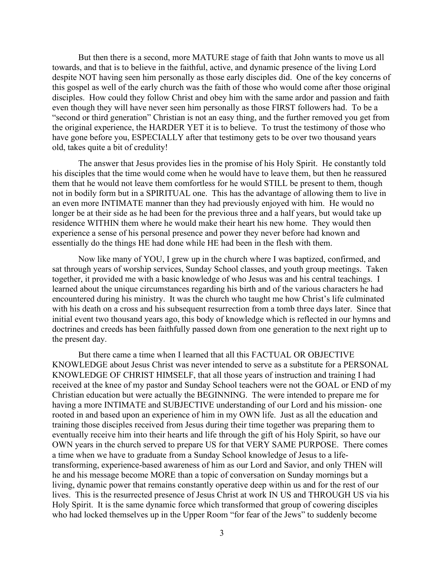But then there is a second, more MATURE stage of faith that John wants to move us all towards, and that is to believe in the faithful, active, and dynamic presence of the living Lord despite NOT having seen him personally as those early disciples did. One of the key concerns of this gospel as well of the early church was the faith of those who would come after those original disciples. How could they follow Christ and obey him with the same ardor and passion and faith even though they will have never seen him personally as those FIRST followers had. To be a "second or third generation" Christian is not an easy thing, and the further removed you get from the original experience, the HARDER YET it is to believe. To trust the testimony of those who have gone before you, ESPECIALLY after that testimony gets to be over two thousand years old, takes quite a bit of credulity!

The answer that Jesus provides lies in the promise of his Holy Spirit. He constantly told his disciples that the time would come when he would have to leave them, but then he reassured them that he would not leave them comfortless for he would STILL be present to them, though not in bodily form but in a SPIRITUAL one. This has the advantage of allowing them to live in an even more INTIMATE manner than they had previously enjoyed with him. He would no longer be at their side as he had been for the previous three and a half years, but would take up residence WITHIN them where he would make their heart his new home. They would then experience a sense of his personal presence and power they never before had known and essentially do the things HE had done while HE had been in the flesh with them.

Now like many of YOU, I grew up in the church where I was baptized, confirmed, and sat through years of worship services, Sunday School classes, and youth group meetings. Taken together, it provided me with a basic knowledge of who Jesus was and his central teachings. I learned about the unique circumstances regarding his birth and of the various characters he had encountered during his ministry. It was the church who taught me how Christ's life culminated with his death on a cross and his subsequent resurrection from a tomb three days later. Since that initial event two thousand years ago, this body of knowledge which is reflected in our hymns and doctrines and creeds has been faithfully passed down from one generation to the next right up to the present day.

But there came a time when I learned that all this FACTUAL OR OBJECTIVE KNOWLEDGE about Jesus Christ was never intended to serve as a substitute for a PERSONAL KNOWLEDGE OF CHRIST HIMSELF, that all those years of instruction and training I had received at the knee of my pastor and Sunday School teachers were not the GOAL or END of my Christian education but were actually the BEGINNING. The were intended to prepare me for having a more INTIMATE and SUBJECTIVE understanding of our Lord and his mission- one rooted in and based upon an experience of him in my OWN life. Just as all the education and training those disciples received from Jesus during their time together was preparing them to eventually receive him into their hearts and life through the gift of his Holy Spirit, so have our OWN years in the church served to prepare US for that VERY SAME PURPOSE. There comes a time when we have to graduate from a Sunday School knowledge of Jesus to a lifetransforming, experience-based awareness of him as our Lord and Savior, and only THEN will he and his message become MORE than a topic of conversation on Sunday mornings but a living, dynamic power that remains constantly operative deep within us and for the rest of our lives. This is the resurrected presence of Jesus Christ at work IN US and THROUGH US via his Holy Spirit. It is the same dynamic force which transformed that group of cowering disciples who had locked themselves up in the Upper Room "for fear of the Jews" to suddenly become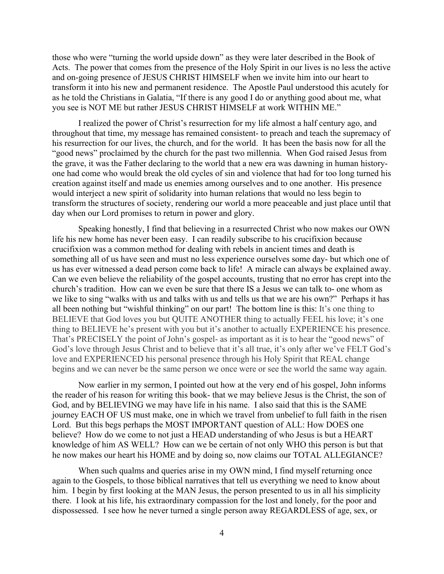those who were "turning the world upside down" as they were later described in the Book of Acts. The power that comes from the presence of the Holy Spirit in our lives is no less the active and on-going presence of JESUS CHRIST HIMSELF when we invite him into our heart to transform it into his new and permanent residence. The Apostle Paul understood this acutely for as he told the Christians in Galatia, "If there is any good I do or anything good about me, what you see is NOT ME but rather JESUS CHRIST HIMSELF at work WITHIN ME."

I realized the power of Christ's resurrection for my life almost a half century ago, and throughout that time, my message has remained consistent- to preach and teach the supremacy of his resurrection for our lives, the church, and for the world. It has been the basis now for all the "good news" proclaimed by the church for the past two millennia. When God raised Jesus from the grave, it was the Father declaring to the world that a new era was dawning in human historyone had come who would break the old cycles of sin and violence that had for too long turned his creation against itself and made us enemies among ourselves and to one another. His presence would interject a new spirit of solidarity into human relations that would no less begin to transform the structures of society, rendering our world a more peaceable and just place until that day when our Lord promises to return in power and glory.

Speaking honestly, I find that believing in a resurrected Christ who now makes our OWN life his new home has never been easy. I can readily subscribe to his crucifixion because crucifixion was a common method for dealing with rebels in ancient times and death is something all of us have seen and must no less experience ourselves some day- but which one of us has ever witnessed a dead person come back to life! A miracle can always be explained away. Can we even believe the reliability of the gospel accounts, trusting that no error has crept into the church's tradition. How can we even be sure that there IS a Jesus we can talk to- one whom as we like to sing "walks with us and talks with us and tells us that we are his own?" Perhaps it has all been nothing but "wishful thinking" on our part! The bottom line is this: It's one thing to BELIEVE that God loves you but QUITE ANOTHER thing to actually FEEL his love; it's one thing to BELIEVE he's present with you but it's another to actually EXPERIENCE his presence. That's PRECISELY the point of John's gospel- as important as it is to hear the "good news" of God's love through Jesus Christ and to believe that it's all true, it's only after we've FELT God's love and EXPERIENCED his personal presence through his Holy Spirit that REAL change begins and we can never be the same person we once were or see the world the same way again.

Now earlier in my sermon, I pointed out how at the very end of his gospel, John informs the reader of his reason for writing this book- that we may believe Jesus is the Christ, the son of God, and by BELIEVING we may have life in his name. I also said that this is the SAME journey EACH OF US must make, one in which we travel from unbelief to full faith in the risen Lord. But this begs perhaps the MOST IMPORTANT question of ALL: How DOES one believe? How do we come to not just a HEAD understanding of who Jesus is but a HEART knowledge of him AS WELL? How can we be certain of not only WHO this person is but that he now makes our heart his HOME and by doing so, now claims our TOTAL ALLEGIANCE?

When such qualms and queries arise in my OWN mind, I find myself returning once again to the Gospels, to those biblical narratives that tell us everything we need to know about him. I begin by first looking at the MAN Jesus, the person presented to us in all his simplicity there. I look at his life, his extraordinary compassion for the lost and lonely, for the poor and dispossessed. I see how he never turned a single person away REGARDLESS of age, sex, or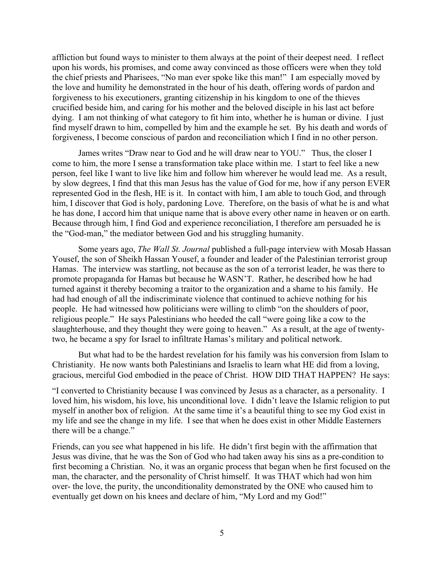affliction but found ways to minister to them always at the point of their deepest need. I reflect upon his words, his promises, and come away convinced as those officers were when they told the chief priests and Pharisees, "No man ever spoke like this man!" I am especially moved by the love and humility he demonstrated in the hour of his death, offering words of pardon and forgiveness to his executioners, granting citizenship in his kingdom to one of the thieves crucified beside him, and caring for his mother and the beloved disciple in his last act before dying. I am not thinking of what category to fit him into, whether he is human or divine. I just find myself drawn to him, compelled by him and the example he set. By his death and words of forgiveness, I become conscious of pardon and reconciliation which I find in no other person.

James writes "Draw near to God and he will draw near to YOU." Thus, the closer I come to him, the more I sense a transformation take place within me. I start to feel like a new person, feel like I want to live like him and follow him wherever he would lead me. As a result, by slow degrees, I find that this man Jesus has the value of God for me, how if any person EVER represented God in the flesh, HE is it. In contact with him, I am able to touch God, and through him, I discover that God is holy, pardoning Love. Therefore, on the basis of what he is and what he has done, I accord him that unique name that is above every other name in heaven or on earth. Because through him, I find God and experience reconciliation, I therefore am persuaded he is the "God-man," the mediator between God and his struggling humanity.

Some years ago, *The Wall St. Journal* published a full-page interview with Mosab Hassan Yousef, the son of Sheikh Hassan Yousef, a founder and leader of the Palestinian terrorist group Hamas. The interview was startling, not because as the son of a terrorist leader, he was there to promote propaganda for Hamas but because he WASN'T. Rather, he described how he had turned against it thereby becoming a traitor to the organization and a shame to his family. He had had enough of all the indiscriminate violence that continued to achieve nothing for his people. He had witnessed how politicians were willing to climb "on the shoulders of poor, religious people." He says Palestinians who heeded the call "were going like a cow to the slaughterhouse, and they thought they were going to heaven." As a result, at the age of twentytwo, he became a spy for Israel to infiltrate Hamas's military and political network.

But what had to be the hardest revelation for his family was his conversion from Islam to Christianity. He now wants both Palestinians and Israelis to learn what HE did from a loving, gracious, merciful God embodied in the peace of Christ. HOW DID THAT HAPPEN? He says:

"I converted to Christianity because I was convinced by Jesus as a character, as a personality. I loved him, his wisdom, his love, his unconditional love. I didn't leave the Islamic religion to put myself in another box of religion. At the same time it's a beautiful thing to see my God exist in my life and see the change in my life. I see that when he does exist in other Middle Easterners there will be a change."

Friends, can you see what happened in his life. He didn't first begin with the affirmation that Jesus was divine, that he was the Son of God who had taken away his sins as a pre-condition to first becoming a Christian. No, it was an organic process that began when he first focused on the man, the character, and the personality of Christ himself. It was THAT which had won him over- the love, the purity, the unconditionality demonstrated by the ONE who caused him to eventually get down on his knees and declare of him, "My Lord and my God!"